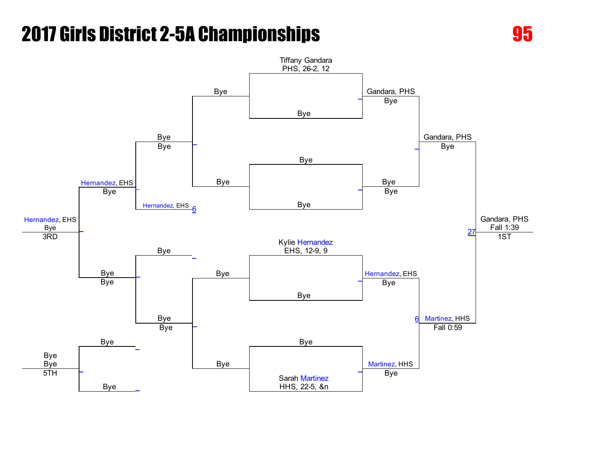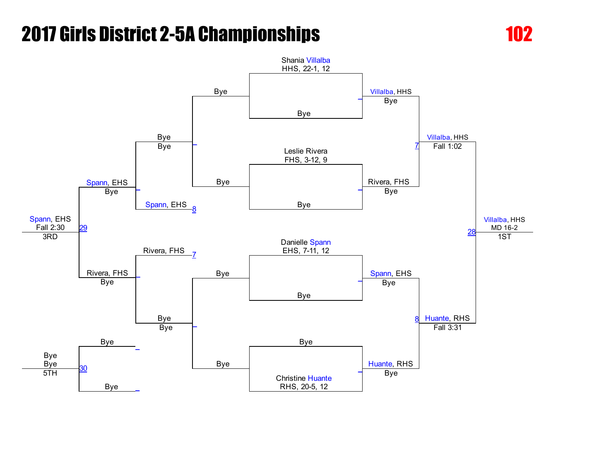

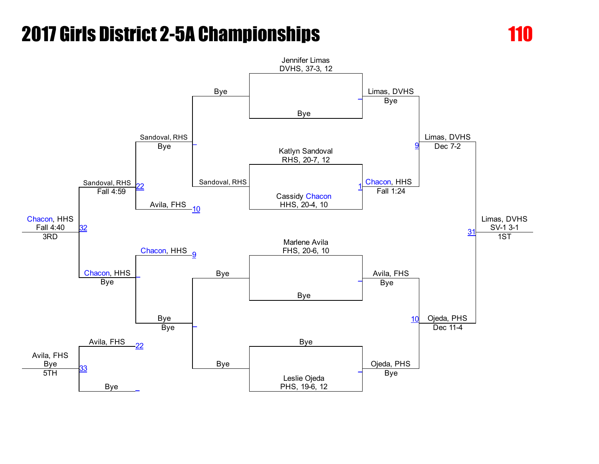

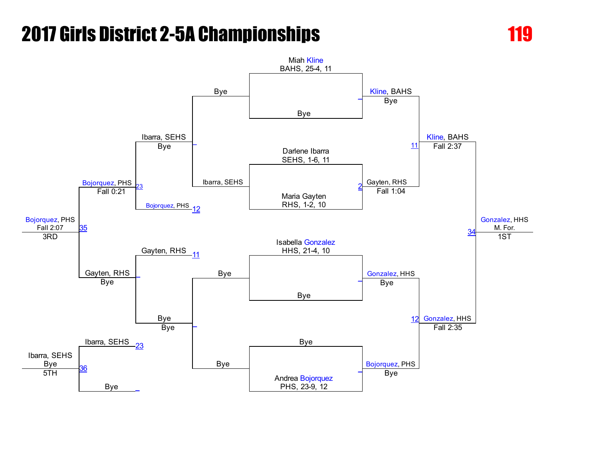

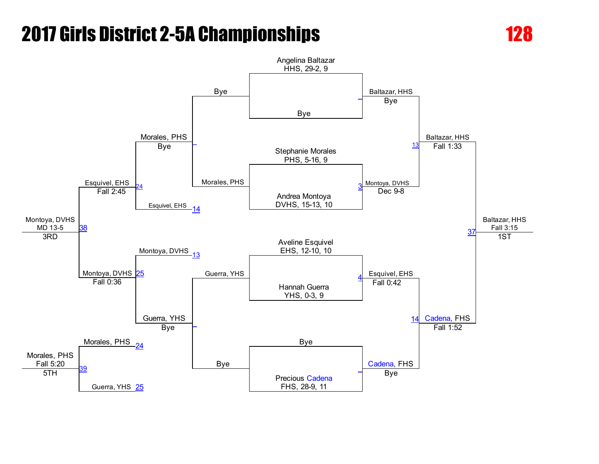

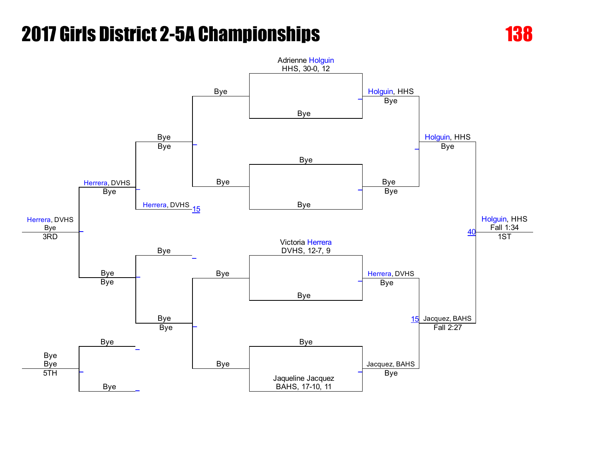

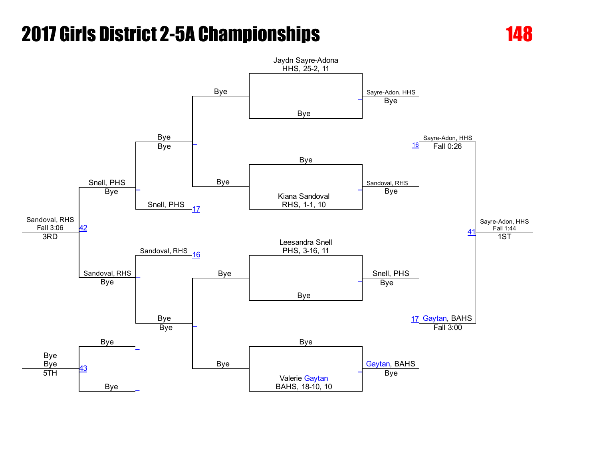

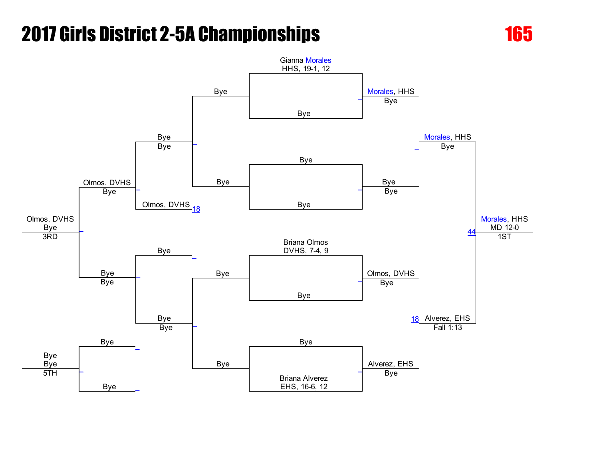

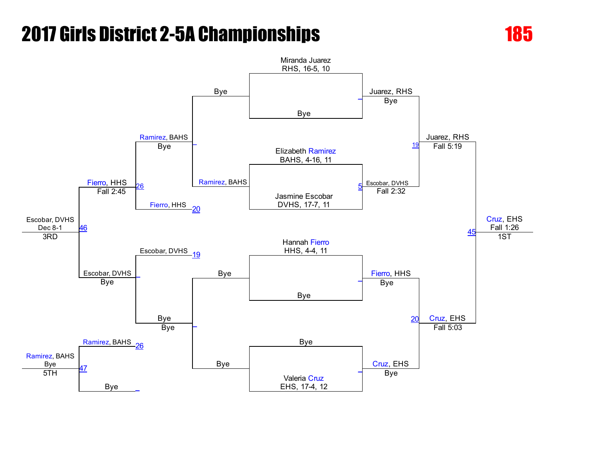